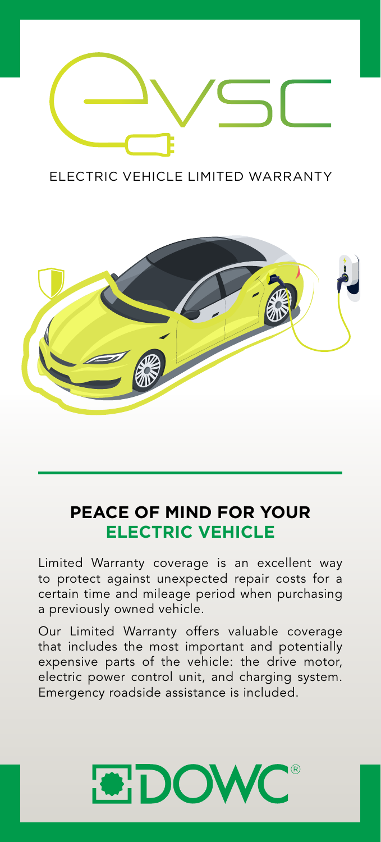

ELECTRIC VEHICLE LIMITED WARRANTY



# **PEACE OF MIND FOR YOUR ELECTRIC VEHICLE**

Limited Warranty coverage is an excellent way to protect against unexpected repair costs for a certain time and mileage period when purchasing a previously owned vehicle.

Our Limited Warranty offers valuable coverage that includes the most important and potentially expensive parts of the vehicle: the drive motor, electric power control unit, and charging system. Emergency roadside assistance is included.